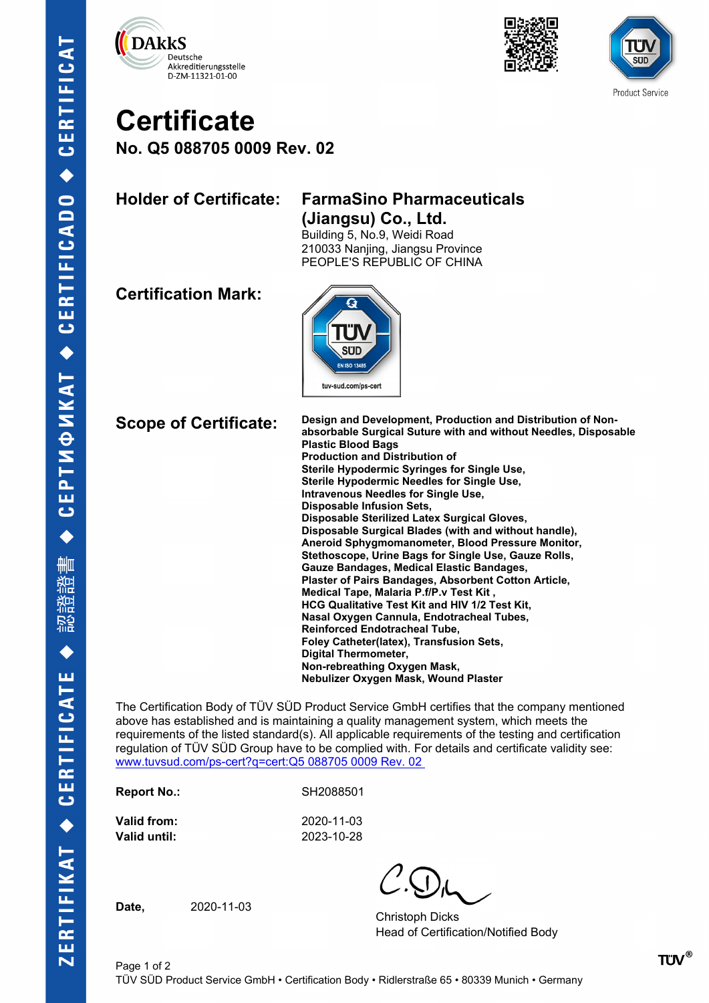





# **Certificate**

**No. Q5 088705 0009 Rev. 02**

## **Holder of Certificate: FarmaSino Pharmaceuticals (Jiangsu) Co., Ltd.**

Building 5, No.9, Weidi Road 210033 Nanjing, Jiangsu Province PEOPLE'S REPUBLIC OF CHINA

### **Certification Mark:**



**Scope of Certificate:** Design and Development, Production and Distribution of Non**absorbable Surgical Suture with and without Needles, Disposable Plastic Blood Bags Production and Distribution of Sterile Hypodermic Syringes for Single Use, Sterile Hypodermic Needles for Single Use, Intravenous Needles for Single Use, Disposable Infusion Sets, Disposable Sterilized Latex Surgical Gloves, Disposable Surgical Blades (with and without handle), Aneroid Sphygmomanometer, Blood Pressure Monitor, Stethoscope, Urine Bags for Single Use, Gauze Rolls, Gauze Bandages, Medical Elastic Bandages, Plaster of Pairs Bandages, Absorbent Cotton Article, Medical Tape, Malaria P.f/P.v Test Kit , HCG Qualitative Test Kit and HIV 1/2 Test Kit, Nasal Oxygen Cannula, Endotracheal Tubes, Reinforced Endotracheal Tube, Foley Catheter(latex), Transfusion Sets, Digital Thermometer, Non-rebreathing Oxygen Mask, Nebulizer Oxygen Mask, Wound Plaster**

The Certification Body of TÜV SÜD Product Service GmbH certifies that the company mentioned above has established and is maintaining a quality management system, which meets the requirements of the listed standard(s). All applicable requirements of the testing and certification regulation of TÜV SÜD Group have to be complied with. For details and certificate validity see: [www.tuvsud.com/ps-cert?q=cert:Q5 088705 0009 Rev. 02](http://www.tuvsud.com/ps-cert?q=cert:Q5%20088705%200009%20Rev.%2002%C2%A0) 

**Report No.:** SH2088501

**Valid until:** 2023-10-28

**Valid from:** 2020-11-03

**Date,** 2020-11-03

Christoph Dicks Head of Certification/Notified Body